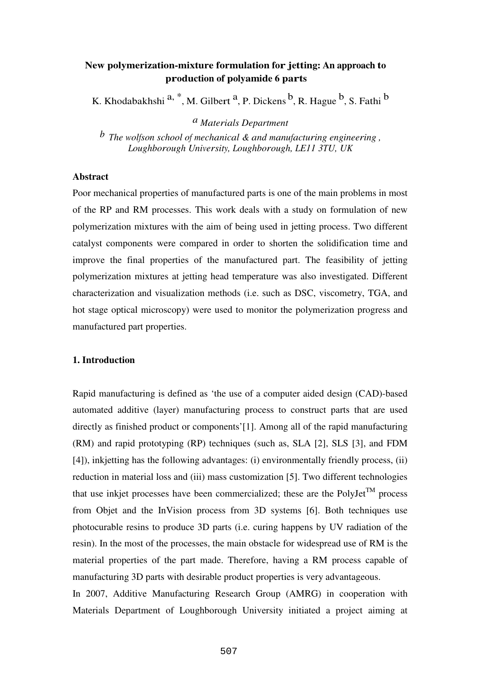# **New polymerization-mixture formulation for jetting: An approach to production of polyamide 6 parts**

K. Khodabakhshi <sup>a, \*</sup>, M. Gilbert <sup>a</sup>, P. Dickens <sup>b</sup>, R. Hague <sup>b</sup>, S. Fathi <sup>b</sup>

*a Materials Department* 

*b The wolfson school of mechanical & and manufacturing engineering , Loughborough University, Loughborough, LE11 3TU, UK*

## **Abstract**

Poor mechanical properties of manufactured parts is one of the main problems in most of the RP and RM processes. This work deals with a study on formulation of new polymerization mixtures with the aim of being used in jetting process. Two different catalyst components were compared in order to shorten the solidification time and improve the final properties of the manufactured part. The feasibility of jetting polymerization mixtures at jetting head temperature was also investigated. Different characterization and visualization methods (i.e. such as DSC, viscometry, TGA, and hot stage optical microscopy) were used to monitor the polymerization progress and manufactured part properties.

# **1. Introduction**

Rapid manufacturing is defined as 'the use of a computer aided design (CAD)-based automated additive (layer) manufacturing process to construct parts that are used directly as finished product or components'[1]. Among all of the rapid manufacturing (RM) and rapid prototyping (RP) techniques (such as, SLA [2], SLS [3], and FDM [4]), inkjetting has the following advantages: (i) environmentally friendly process, (ii) reduction in material loss and (iii) mass customization [5]. Two different technologies that use inkjet processes have been commercialized; these are the PolyJet<sup>TM</sup> process from Objet and the InVision process from 3D systems [6]. Both techniques use photocurable resins to produce 3D parts (i.e. curing happens by UV radiation of the resin). In the most of the processes, the main obstacle for widespread use of RM is the material properties of the part made. Therefore, having a RM process capable of manufacturing 3D parts with desirable product properties is very advantageous.

In 2007, Additive Manufacturing Research Group (AMRG) in cooperation with Materials Department of Loughborough University initiated a project aiming at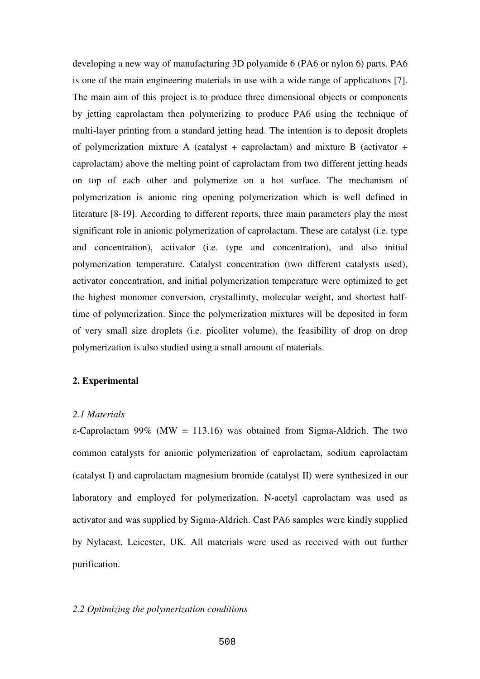developing a new way of manufacturing 3D polyamide 6 (PA6 or nylon 6) parts. PA6 is one of the main engineering materials in use with a wide range of applications [7]. The main aim of this project is to produce three dimensional objects or components by jetting caprolactam then polymerizing to produce PA6 using the technique of multi-layer printing from a standard jetting head. The intention is to deposit droplets of polymerization mixture A (catalyst + caprolactam) and mixture B (activator + caprolactam) above the melting point of caprolactam from two different jetting heads on top of each other and polymerize on a hot surface. The mechanism of polymerization is anionic ring opening polymerization which is well defined in literature [8-19]. According to different reports, three main parameters play the most significant role in anionic polymerization of caprolactam. These are catalyst (i.e. type and concentration), activator (i.e. type and concentration), and also initial polymerization temperature. Catalyst concentration (two different catalysts used), activator concentration, and initial polymerization temperature were optimized to get the highest monomer conversion, crystallinity, molecular weight, and shortest halftime of polymerization. Since the polymerization mixtures will be deposited in form of very small size droplets (i.e. picoliter volume), the feasibility of drop on drop polymerization is also studied using a small amount of materials.

## **2. Experimental**

## *2.1 Materials*

ε-Caprolactam 99% (MW = 113.16) was obtained from Sigma-Aldrich. The two common catalysts for anionic polymerization of caprolactam, sodium caprolactam (catalyst I) and caprolactam magnesium bromide (catalyst II) were synthesized in our laboratory and employed for polymerization. N-acetyl caprolactam was used as activator and was supplied by Sigma-Aldrich. Cast PA6 samples were kindly supplied by Nylacast, Leicester, UK. All materials were used as received with out further purification.

### *2.2 Optimizing the polymerization conditions*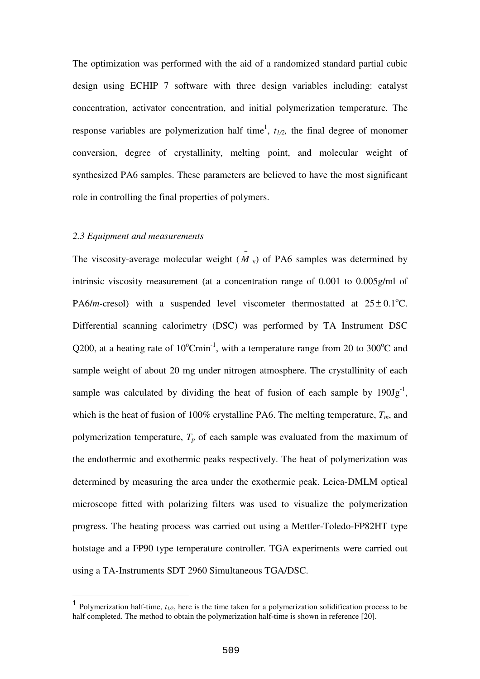The optimization was performed with the aid of a randomized standard partial cubic design using ECHIP 7 software with three design variables including: catalyst concentration, activator concentration, and initial polymerization temperature. The response variables are polymerization half time<sup>1</sup>,  $t_{1/2}$ , the final degree of monomer conversion, degree of crystallinity, melting point, and molecular weight of synthesized PA6 samples. These parameters are believed to have the most significant role in controlling the final properties of polymers.

−

## *2.3 Equipment and measurements*

 $\overline{a}$ 

The viscosity-average molecular weight  $(M<sub>v</sub>)$  of PA6 samples was determined by intrinsic viscosity measurement (at a concentration range of 0.001 to 0.005g/ml of PA6/*m*-cresol) with a suspended level viscometer thermostatted at  $25 \pm 0.1^{\circ}$ C. Differential scanning calorimetry (DSC) was performed by TA Instrument DSC Q200, at a heating rate of  $10^{\circ}$ Cmin<sup>-1</sup>, with a temperature range from 20 to 300<sup>o</sup>C and sample weight of about 20 mg under nitrogen atmosphere. The crystallinity of each sample was calculated by dividing the heat of fusion of each sample by  $190Jg^{-1}$ , which is the heat of fusion of 100% crystalline PA6. The melting temperature,  $T_m$ , and polymerization temperature,  $T_p$  of each sample was evaluated from the maximum of the endothermic and exothermic peaks respectively. The heat of polymerization was determined by measuring the area under the exothermic peak. Leica-DMLM optical microscope fitted with polarizing filters was used to visualize the polymerization progress. The heating process was carried out using a Mettler-Toledo-FP82HT type hotstage and a FP90 type temperature controller. TGA experiments were carried out using a TA-Instruments SDT 2960 Simultaneous TGA/DSC.

<sup>1</sup> Polymerization half-time, *t1/2*, here is the time taken for a polymerization solidification process to be half completed. The method to obtain the polymerization half-time is shown in reference [20].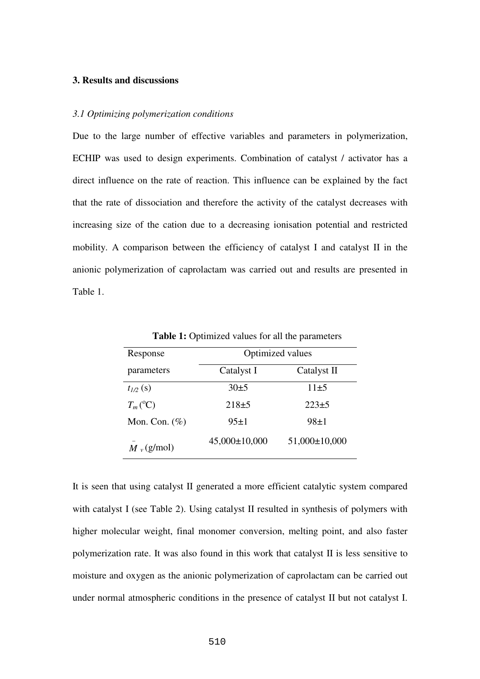# **3. Results and discussions**

#### *3.1 Optimizing polymerization conditions*

Due to the large number of effective variables and parameters in polymerization, ECHIP was used to design experiments. Combination of catalyst / activator has a direct influence on the rate of reaction. This influence can be explained by the fact that the rate of dissociation and therefore the activity of the catalyst decreases with increasing size of the cation due to a decreasing ionisation potential and restricted mobility. A comparison between the efficiency of catalyst I and catalyst II in the anionic polymerization of caprolactam was carried out and results are presented in Table 1.

| Response               | Optimized values  |                   |  |  |
|------------------------|-------------------|-------------------|--|--|
| parameters             | Catalyst I        | Catalyst II       |  |  |
| $t_{1/2}(s)$           | 30±5              | $11\pm 5$         |  |  |
| $T_m$ <sup>(°</sup> C) | $218 + 5$         | $223+5$           |  |  |
| Mon. Con. $(\%)$       | $95 \pm 1$        | $98+1$            |  |  |
| $M_v$ (g/mol)          | $45,000\pm10,000$ | $51,000\pm10,000$ |  |  |

Table 1: Optimized values for all the parameters

It is seen that using catalyst II generated a more efficient catalytic system compared with catalyst I (see Table 2). Using catalyst II resulted in synthesis of polymers with higher molecular weight, final monomer conversion, melting point, and also faster polymerization rate. It was also found in this work that catalyst II is less sensitive to moisture and oxygen as the anionic polymerization of caprolactam can be carried out under normal atmospheric conditions in the presence of catalyst II but not catalyst I.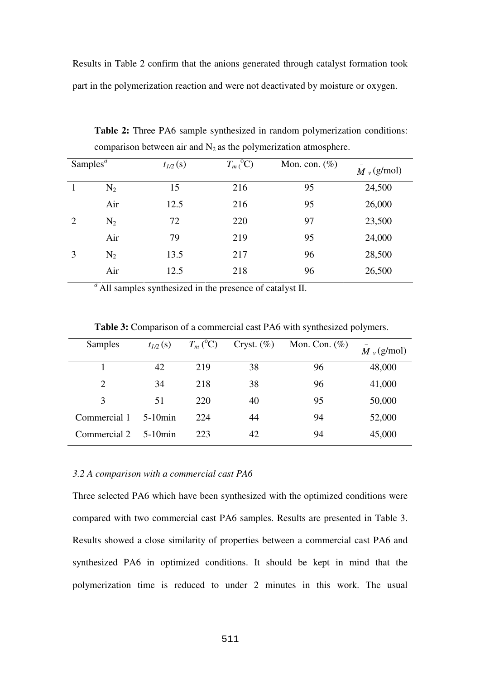Results in Table 2 confirm that the anions generated through catalyst formation took part in the polymerization reaction and were not deactivated by moisture or oxygen.

| Samples <sup><math>a</math></sup> |       | $t_{1/2}(s)$ | $T_m$ <sup>o</sup> C) | Mon. con. $(\%)$ | $M_v$ (g/mol) |
|-----------------------------------|-------|--------------|-----------------------|------------------|---------------|
|                                   | $N_2$ | 15           | 216                   | 95               | 24,500        |
|                                   | Air   | 12.5         | 216                   | 95               | 26,000        |
| $\overline{2}$                    | $N_2$ | 72           | 220                   | 97               | 23,500        |
|                                   | Air   | 79           | 219                   | 95               | 24,000        |
| 3                                 | $N_2$ | 13.5         | 217                   | 96               | 28,500        |
|                                   | Air   | 12.5         | 218                   | 96               | 26,500        |

**Table 2:** Three PA6 sample synthesized in random polymerization conditions: comparison between air and  $N_2$  as the polymerization atmosphere.

<sup>*a*</sup>All samples synthesized in the presence of catalyst II.

| <b>Samples</b> | $t_{1/2}(s)$ | $T_m$ ( ${}^{\circ}$ C) | Cryst. $(\%)$ | Mon. Con. $(\%)$ | $M_v$ (g/mol) |
|----------------|--------------|-------------------------|---------------|------------------|---------------|
|                | 42           | 219                     | 38            | 96               | 48,000        |
| $\overline{2}$ | 34           | 218                     | 38            | 96               | 41,000        |
| 3              | 51           | 220                     | 40            | 95               | 50,000        |
| Commercial 1   | $5-10$ min   | 224                     | 44            | 94               | 52,000        |
| Commercial 2   | $5-10$ min   | 223                     | 42            | 94               | 45,000        |

**Table 3:** Comparison of a commercial cast PA6 with synthesized polymers.

# *3.2 A comparison with a commercial cast PA6*

Three selected PA6 which have been synthesized with the optimized conditions were compared with two commercial cast PA6 samples. Results are presented in Table 3. Results showed a close similarity of properties between a commercial cast PA6 and synthesized PA6 in optimized conditions. It should be kept in mind that the polymerization time is reduced to under 2 minutes in this work. The usual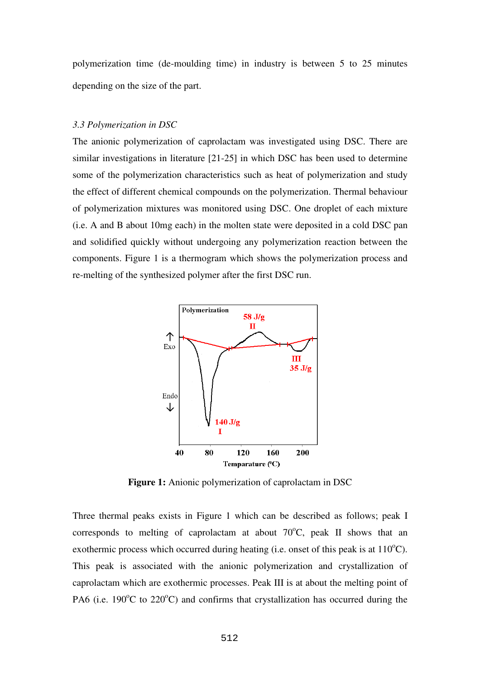polymerization time (de-moulding time) in industry is between 5 to 25 minutes depending on the size of the part.

## *3.3 Polymerization in DSC*

The anionic polymerization of caprolactam was investigated using DSC. There are similar investigations in literature [21-25] in which DSC has been used to determine some of the polymerization characteristics such as heat of polymerization and study the effect of different chemical compounds on the polymerization. Thermal behaviour of polymerization mixtures was monitored using DSC. One droplet of each mixture (i.e. A and B about 10mg each) in the molten state were deposited in a cold DSC pan and solidified quickly without undergoing any polymerization reaction between the components. Figure 1 is a thermogram which shows the polymerization process and re-melting of the synthesized polymer after the first DSC run.



**Figure 1:** Anionic polymerization of caprolactam in DSC

Three thermal peaks exists in Figure 1 which can be described as follows; peak I corresponds to melting of caprolactam at about  $70^{\circ}$ C, peak II shows that an exothermic process which occurred during heating (i.e. onset of this peak is at  $110^{\circ}$ C). This peak is associated with the anionic polymerization and crystallization of caprolactam which are exothermic processes. Peak III is at about the melting point of PA6 (i.e. 190 $\degree$ C to 220 $\degree$ C) and confirms that crystallization has occurred during the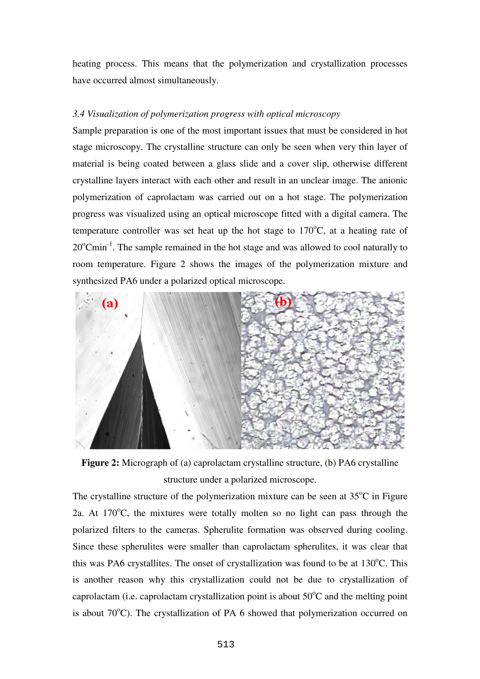heating process. This means that the polymerization and crystallization processes have occurred almost simultaneously.

# *3.4 Visualization of polymerization progress with optical microscopy*

Sample preparation is one of the most important issues that must be considered in hot stage microscopy. The crystalline structure can only be seen when very thin layer of material is being coated between a glass slide and a cover slip, otherwise different crystalline layers interact with each other and result in an unclear image. The anionic polymerization of caprolactam was carried out on a hot stage. The polymerization progress was visualized using an optical microscope fitted with a digital camera. The temperature controller was set heat up the hot stage to  $170^{\circ}$ C, at a heating rate of  $20^{\circ}$ Cmin<sup>-1</sup>. The sample remained in the hot stage and was allowed to cool naturally to room temperature. Figure 2 shows the images of the polymerization mixture and synthesized PA6 under a polarized optical microscope.



**Figure 2:** Micrograph of (a) caprolactam crystalline structure, (b) PA6 crystalline structure under a polarized microscope.

The crystalline structure of the polymerization mixture can be seen at  $35^{\circ}$ C in Figure 2a. At  $170^{\circ}$ C, the mixtures were totally molten so no light can pass through the polarized filters to the cameras. Spherulite formation was observed during cooling. Since these spherulites were smaller than caprolactam spherulites, it was clear that this was PA6 crystallites. The onset of crystallization was found to be at  $130^{\circ}$ C. This is another reason why this crystallization could not be due to crystallization of caprolactam (i.e. caprolactam crystallization point is about  $50^{\circ}$ C and the melting point is about  $70^{\circ}$ C). The crystallization of PA 6 showed that polymerization occurred on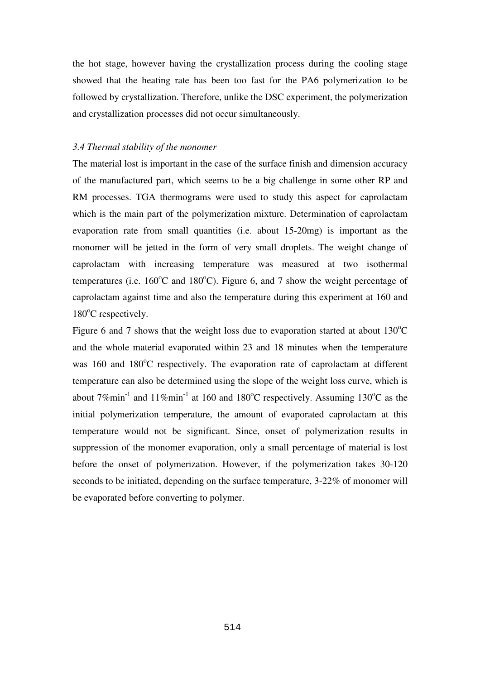the hot stage, however having the crystallization process during the cooling stage showed that the heating rate has been too fast for the PA6 polymerization to be followed by crystallization. Therefore, unlike the DSC experiment, the polymerization and crystallization processes did not occur simultaneously.

#### *3.4 Thermal stability of the monomer*

The material lost is important in the case of the surface finish and dimension accuracy of the manufactured part, which seems to be a big challenge in some other RP and RM processes. TGA thermograms were used to study this aspect for caprolactam which is the main part of the polymerization mixture. Determination of caprolactam evaporation rate from small quantities (i.e. about 15-20mg) is important as the monomer will be jetted in the form of very small droplets. The weight change of caprolactam with increasing temperature was measured at two isothermal temperatures (i.e.  $160^{\circ}$ C and  $180^{\circ}$ C). Figure 6, and 7 show the weight percentage of caprolactam against time and also the temperature during this experiment at 160 and  $180^{\circ}$ C respectively.

Figure 6 and 7 shows that the weight loss due to evaporation started at about  $130^{\circ}$ C and the whole material evaporated within 23 and 18 minutes when the temperature was  $160$  and  $180^{\circ}$ C respectively. The evaporation rate of caprolactam at different temperature can also be determined using the slope of the weight loss curve, which is about  $7\%$ min<sup>-1</sup> and  $11\%$ min<sup>-1</sup> at 160 and 180<sup>o</sup>C respectively. Assuming 130<sup>o</sup>C as the initial polymerization temperature, the amount of evaporated caprolactam at this temperature would not be significant. Since, onset of polymerization results in suppression of the monomer evaporation, only a small percentage of material is lost before the onset of polymerization. However, if the polymerization takes 30-120 seconds to be initiated, depending on the surface temperature, 3-22% of monomer will be evaporated before converting to polymer.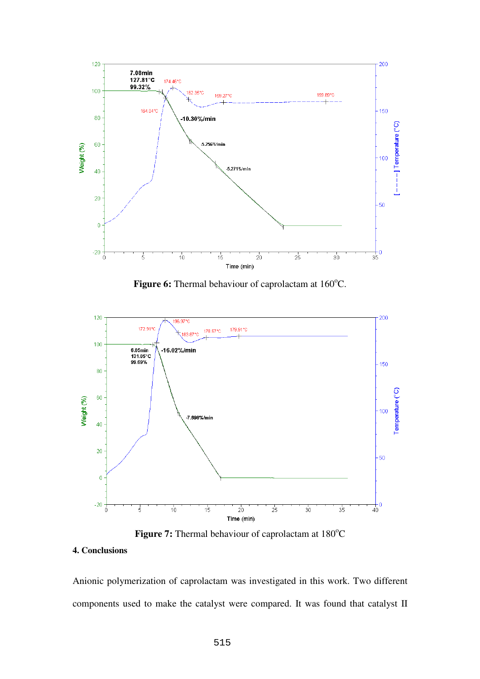

Figure 6: Thermal behaviour of caprolactam at 160°C.



**Figure 7:** Thermal behaviour of caprolactam at 180<sup>o</sup>C

#### **4. Conclusions**

Anionic polymerization of caprolactam was investigated in this work. Two different components used to make the catalyst were compared. It was found that catalyst II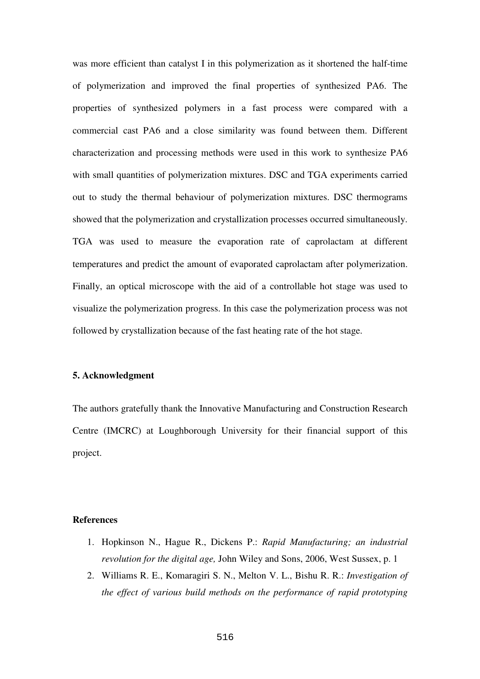was more efficient than catalyst I in this polymerization as it shortened the half-time of polymerization and improved the final properties of synthesized PA6. The properties of synthesized polymers in a fast process were compared with a commercial cast PA6 and a close similarity was found between them. Different characterization and processing methods were used in this work to synthesize PA6 with small quantities of polymerization mixtures. DSC and TGA experiments carried out to study the thermal behaviour of polymerization mixtures. DSC thermograms showed that the polymerization and crystallization processes occurred simultaneously. TGA was used to measure the evaporation rate of caprolactam at different temperatures and predict the amount of evaporated caprolactam after polymerization. Finally, an optical microscope with the aid of a controllable hot stage was used to visualize the polymerization progress. In this case the polymerization process was not followed by crystallization because of the fast heating rate of the hot stage.

# **5. Acknowledgment**

The authors gratefully thank the Innovative Manufacturing and Construction Research Centre (IMCRC) at Loughborough University for their financial support of this project.

# **References**

- 1. Hopkinson N., Hague R., Dickens P.: *Rapid Manufacturing; an industrial revolution for the digital age,* John Wiley and Sons, 2006, West Sussex, p. 1
- 2. Williams R. E., Komaragiri S. N., Melton V. L., Bishu R. R.: *Investigation of the effect of various build methods on the performance of rapid prototyping*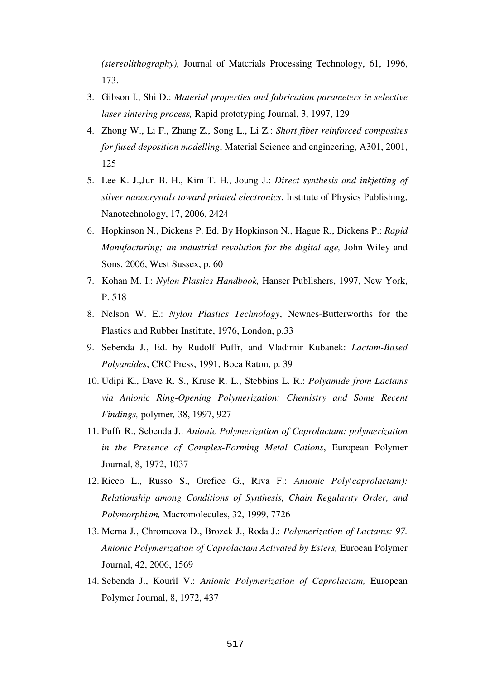*(stereolithography),* Journal of Matcrials Processing Technology, 61, 1996, 173.

- 3. Gibson I., Shi D.: *Material properties and fabrication parameters in selective laser sintering process,* Rapid prototyping Journal, 3, 1997, 129
- 4. Zhong W., Li F., Zhang Z., Song L., Li Z.: *Short fiber reinforced composites for fused deposition modelling*, Material Science and engineering, A301, 2001, 125
- 5. Lee K. J.,Jun B. H., Kim T. H., Joung J.: *Direct synthesis and inkjetting of silver nanocrystals toward printed electronics*, Institute of Physics Publishing, Nanotechnology, 17, 2006, 2424
- 6. Hopkinson N., Dickens P. Ed. By Hopkinson N., Hague R., Dickens P.: *Rapid Manufacturing; an industrial revolution for the digital age,* John Wiley and Sons, 2006, West Sussex, p. 60
- 7. Kohan M. I.: *Nylon Plastics Handbook,* Hanser Publishers, 1997, New York, P. 518
- 8. Nelson W. E.: *Nylon Plastics Technology*, Newnes-Butterworths for the Plastics and Rubber Institute, 1976, London, p.33
- 9. Sebenda J., Ed. by Rudolf Puffr, and Vladimir Kubanek: *Lactam-Based Polyamides*, CRC Press, 1991, Boca Raton, p. 39
- 10. Udipi K., Dave R. S., Kruse R. L., Stebbins L. R.: *Polyamide from Lactams via Anionic Ring-Opening Polymerization: Chemistry and Some Recent Findings,* polymer*,* 38, 1997, 927
- 11. Puffr R., Sebenda J.: *Anionic Polymerization of Caprolactam: polymerization in the Presence of Complex-Forming Metal Cations*, European Polymer Journal, 8, 1972, 1037
- 12. Ricco L., Russo S., Orefice G., Riva F.: *Anionic Poly(caprolactam): Relationship among Conditions of Synthesis, Chain Regularity Order, and Polymorphism,* Macromolecules, 32, 1999, 7726
- 13. Merna J., Chromcova D., Brozek J., Roda J.: *Polymerization of Lactams: 97. Anionic Polymerization of Caprolactam Activated by Esters,* Euroean Polymer Journal, 42, 2006, 1569
- 14. Sebenda J., Kouril V.: *Anionic Polymerization of Caprolactam,* European Polymer Journal, 8, 1972, 437